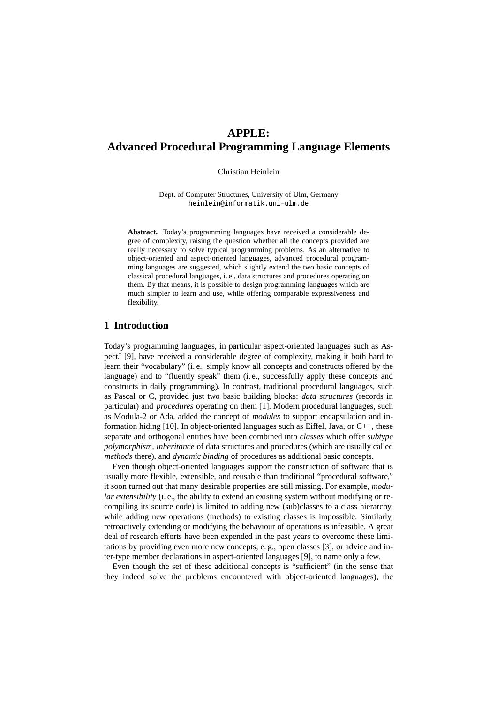# **APPLE: Advanced Procedural Programming Language Elements**

Christian Heinlein

Dept. of Computer Structures, University of Ulm, Germany heinlein@informatik.uni−ulm.de

Abstract. Today's programming languages have received a considerable degree of complexity, raising the question whether all the concepts provided are really necessary to solve typical programming problems. As an alternative to object-oriented and aspect-oriented languages, advanced procedural programming languages are suggested, which slightly extend the two basic concepts of classical procedural languages, i. e., data structures and procedures operating on them. By that means, it is possible to design programming languages which are much simpler to learn and use, while offering comparable expressiveness and flexibility.

# **1 Introduction**

Today's programming languages, in particular aspect-oriented languages such as AspectJ [9], have received a considerable degree of complexity, making it both hard to learn their "vocabulary" (i. e., simply know all concepts and constructs offered by the language) and to "fluently speak" them (i. e., successfully apply these concepts and constructs in daily programming). In contrast, traditional procedural languages, such as Pascal or C, provided just two basic building blocks: *data structures* (records in particular) and *procedures* operating on them [1]. Modern procedural languages, such as Modula-2 or Ada, added the concept of *modules* to support encapsulation and information hiding  $[10]$ . In object-oriented languages such as Eiffel, Java, or  $C_{++}$ , these separate and orthogonal entities have been combined into *classes* which offer *subtype polymorphism*, *inheritance* of data structures and procedures (which are usually called *methods* there), and *dynamic binding* of procedures as additional basic concepts.

Even though object-oriented languages support the construction of software that is usually more flexible, extensible, and reusable than traditional "procedural software," it soon turned out that many desirable properties are still missing. For example, *modular extensibility* (i. e., the ability to extend an existing system without modifying or recompiling its source code) is limited to adding new (sub)classes to a class hierarchy, while adding new operations (methods) to existing classes is impossible. Similarly, retroactively extending or modifying the behaviour of operations is infeasible. A great deal of research efforts have been expended in the past years to overcome these limitations by providing even more new concepts, e. g., open classes [3], or advice and inter-type member declarations in aspect-oriented languages [9], to name only a few.

Even though the set of these additional concepts is "sufficient" (in the sense that they indeed solve the problems encountered with object-oriented languages), the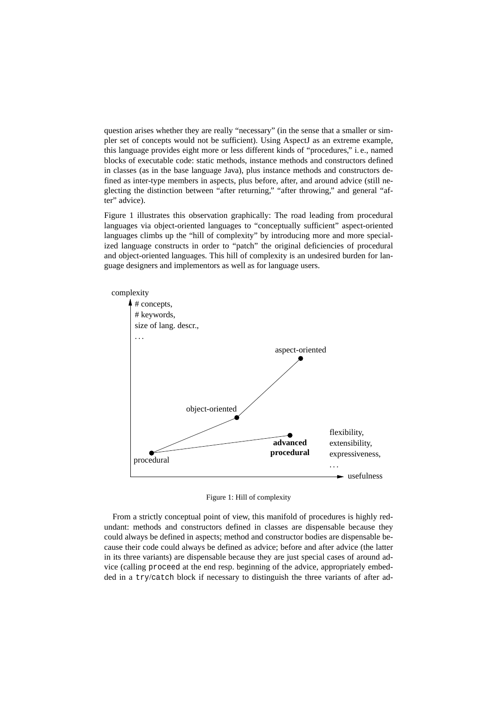question arises whether they are really "necessary" (in the sense that a smaller or simpler set of concepts would not be sufficient). Using AspectJ as an extreme example, this language provides eight more or less different kinds of "procedures," i. e., named blocks of executable code: static methods, instance methods and constructors defined in classes (as in the base language Java), plus instance methods and constructors defined as inter-type members in aspects, plus before, after, and around advice (still neglecting the distinction between "after returning," "after throwing," and general "after" advice).

Figure 1 illustrates this observation graphically: The road leading from procedural languages via object-oriented languages to "conceptually sufficient" aspect-oriented languages climbs up the "hill of complexity" by introducing more and more specialized language constructs in order to "patch" the original deficiencies of procedural and object-oriented languages. This hill of complexity is an undesired burden for language designers and implementors as well as for language users.



Figure 1: Hill of complexity

From a strictly conceptual point of view, this manifold of procedures is highly redundant: methods and constructors defined in classes are dispensable because they could always be defined in aspects; method and constructor bodies are dispensable because their code could always be defined as advice; before and after advice (the latter in its three variants) are dispensable because they are just special cases of around advice (calling proceed at the end resp. beginning of the advice, appropriately embedded in a try/catch block if necessary to distinguish the three variants of after ad-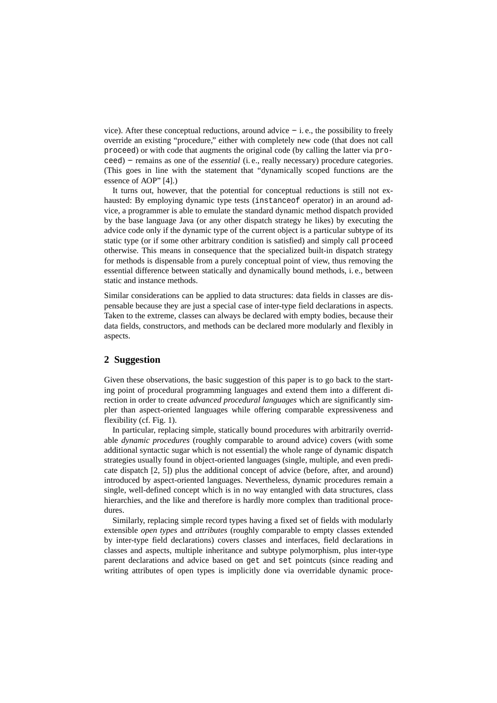vice). After these conceptual reductions, around advice  $-$  i.e., the possibility to freely override an existing "procedure," either with completely new code (that does not call proceed) or with code that augments the original code (by calling the latter via proceed) −− remains as one of the *essential* (i. e., really necessary) procedure categories. (This goes in line with the statement that "dynamically scoped functions are the essence of AOP" [4].)

It turns out, however, that the potential for conceptual reductions is still not exhausted: By employing dynamic type tests (instanceof operator) in an around advice, a programmer is able to emulate the standard dynamic method dispatch provided by the base language Java (or any other dispatch strategy he likes) by executing the advice code only if the dynamic type of the current object is a particular subtype of its static type (or if some other arbitrary condition is satisfied) and simply call proceed otherwise. This means in consequence that the specialized built-in dispatch strategy for methods is dispensable from a purely conceptual point of view, thus removing the essential difference between statically and dynamically bound methods, i. e., between static and instance methods.

Similar considerations can be applied to data structures: data fields in classes are dispensable because they are just a special case of inter-type field declarations in aspects. Taken to the extreme, classes can always be declared with empty bodies, because their data fields, constructors, and methods can be declared more modularly and flexibly in aspects.

# **2 Suggestion**

Given these observations, the basic suggestion of this paper is to go back to the starting point of procedural programming languages and extend them into a different direction in order to create *advanced procedural languages* which are significantly simpler than aspect-oriented languages while offering comparable expressiveness and flexibility (cf. Fig. 1).

In particular, replacing simple, statically bound procedures with arbitrarily overridable *dynamic procedures* (roughly comparable to around advice) covers (with some additional syntactic sugar which is not essential) the whole range of dynamic dispatch strategies usually found in object-oriented languages (single, multiple, and even predicate dispatch [2, 5]) plus the additional concept of advice (before, after, and around) introduced by aspect-oriented languages. Nevertheless, dynamic procedures remain a single, well-defined concept which is in no way entangled with data structures, class hierarchies, and the like and therefore is hardly more complex than traditional procedures.

Similarly, replacing simple record types having a fixed set of fields with modularly extensible *open types* and *attributes* (roughly comparable to empty classes extended by inter-type field declarations) covers classes and interfaces, field declarations in classes and aspects, multiple inheritance and subtype polymorphism, plus inter-type parent declarations and advice based on get and set pointcuts (since reading and writing attributes of open types is implicitly done via overridable dynamic proce-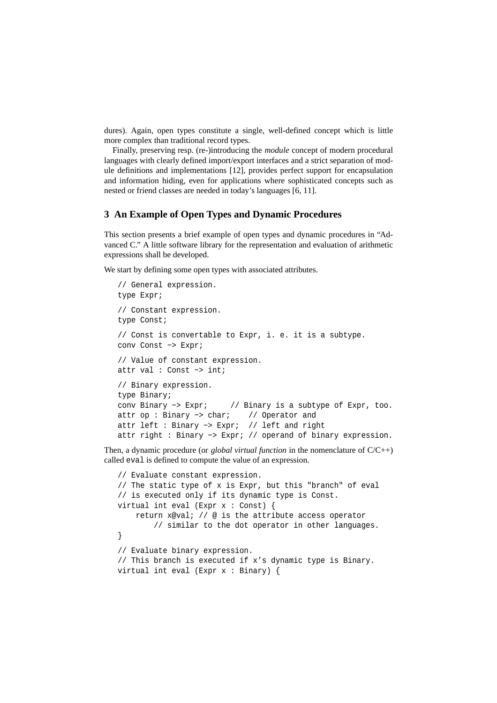dures). Again, open types constitute a single, well-defined concept which is little more complex than traditional record types.

Finally, preserving resp. (re-)introducing the *module* concept of modern procedural languages with clearly defined import/export interfaces and a strict separation of module definitions and implementations [12], provides perfect support for encapsulation and information hiding, even for applications where sophisticated concepts such as nested or friend classes are needed in today's languages [6, 11].

#### **3 An Example of Open Types and Dynamic Procedures**

This section presents a brief example of open types and dynamic procedures in "Advanced C." A little software library for the representation and evaluation of arithmetic expressions shall be developed.

We start by defining some open types with associated attributes.

```
// General expression.
type Expr;
// Constant expression.
type Const;
// Const is convertable to Expr, i. e. it is a subtype.
conv Const −> Expr;
// Value of constant expression.
attr val : Const −> int;
// Binary expression.
type Binary;
conv Binary −> Expr; // Binary is a subtype of Expr, too.
attr op : Binary −> char; // Operator and
attr left : Binary −> Expr; // left and right
attr right : Binary −> Expr; // operand of binary expression.
```
Then, a dynamic procedure (or *global virtual function* in the nomenclature of C/C++) called eval is defined to compute the value of an expression.

```
// Evaluate constant expression.
// The static type of x is Expr, but this "branch" of eval
// is executed only if its dynamic type is Const.
virtual int eval (Expr x : Const) {
   return x@val; // @ is the attribute access operator
        // similar to the dot operator in other languages.
}
// Evaluate binary expression.
// This branch is executed if x's dynamic type is Binary.
virtual int eval (Expr x : Binary) {
```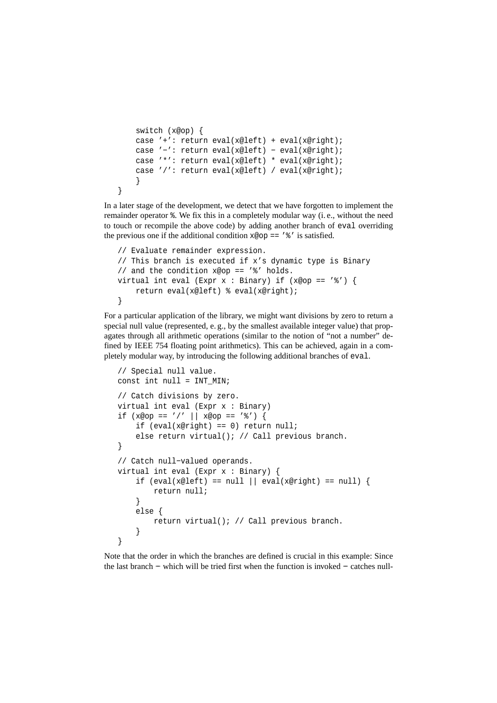```
switch (x@op) {
case '+': return eval(x@left) + eval(x@right);
case '−': return eval(x@left) − eval(x@right);
case '*': return eval(x@left) * eval(x@right);
case '/': return eval(x@left) / eval(x@right);
}
```
}

In a later stage of the development, we detect that we have forgotten to implement the remainder operator %. We fix this in a completely modular way (i. e., without the need to touch or recompile the above code) by adding another branch of eval overriding the previous one if the additional condition  $x \otimes op == '$  's' is satisfied.

```
// Evaluate remainder expression.
// This branch is executed if x's dynamic type is Binary
// and the condition x@op == '%' holds.
virtual int eval (Expr x : Binary) if (x@op == '%') {
    return eval(x@left) % eval(x@right);
}
```
For a particular application of the library, we might want divisions by zero to return a special null value (represented, e. g., by the smallest available integer value) that propagates through all arithmetic operations (similar to the notion of "not a number" defined by IEEE 754 floating point arithmetics). This can be achieved, again in a completely modular way, by introducing the following additional branches of eval.

```
// Special null value.
const int null = INT MIN;
// Catch divisions by zero.
virtual int eval (Expr x : Binary)
if (x@op == ' /' || x@op == '%')if (eval(x@right) == 0) return null;
    else return virtual(); // Call previous branch.
}
// Catch null−valued operands.
virtual int eval (Expr x : Binary) {
    if (eval(x@left) == null || eval(x@right) == null {
        return null;
    }
   else {
        return virtual(); // Call previous branch.
    }
}
```
Note that the order in which the branches are defined is crucial in this example: Since the last branch −− which will be tried first when the function is invoked −− catches null-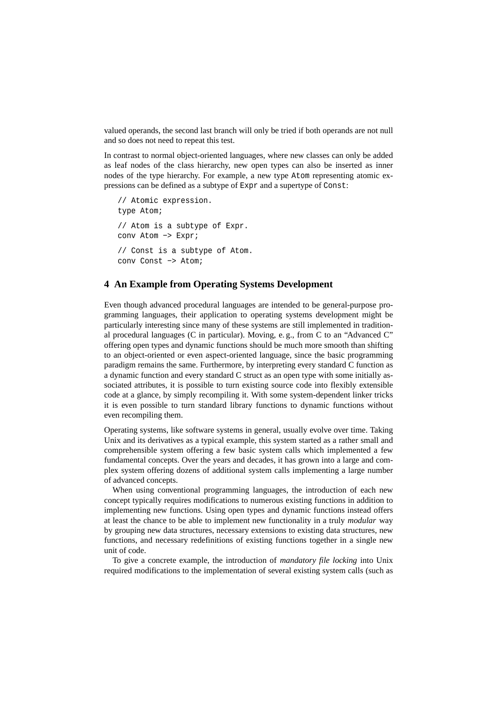valued operands, the second last branch will only be tried if both operands are not null and so does not need to repeat this test.

In contrast to normal object-oriented languages, where new classes can only be added as leaf nodes of the class hierarchy, new open types can also be inserted as inner nodes of the type hierarchy. For example, a new type Atom representing atomic expressions can be defined as a subtype of Expr and a supertype of Const:

```
// Atomic expression.
type Atom;
// Atom is a subtype of Expr.
conv Atom −> Expr;
// Const is a subtype of Atom.
conv Const −> Atom;
```
# **4 An Example from Operating Systems Development**

Even though advanced procedural languages are intended to be general-purpose programming languages, their application to operating systems development might be particularly interesting since many of these systems are still implemented in traditional procedural languages (C in particular). Moving, e. g., from C to an "Advanced C" offering open types and dynamic functions should be much more smooth than shifting to an object-oriented or even aspect-oriented language, since the basic programming paradigm remains the same. Furthermore, by interpreting every standard C function as a dynamic function and every standard C struct as an open type with some initially associated attributes, it is possible to turn existing source code into flexibly extensible code at a glance, by simply recompiling it. With some system-dependent linker tricks it is even possible to turn standard library functions to dynamic functions without even recompiling them.

Operating systems, like software systems in general, usually evolve over time. Taking Unix and its derivatives as a typical example, this system started as a rather small and comprehensible system offering a few basic system calls which implemented a few fundamental concepts. Over the years and decades, it has grown into a large and complex system offering dozens of additional system calls implementing a large number of advanced concepts.

When using conventional programming languages, the introduction of each new concept typically requires modifications to numerous existing functions in addition to implementing new functions. Using open types and dynamic functions instead offers at least the chance to be able to implement new functionality in a truly *modular* way by grouping new data structures, necessary extensions to existing data structures, new functions, and necessary redefinitions of existing functions together in a single new unit of code.

To give a concrete example, the introduction of *mandatory file locking* into Unix required modifications to the implementation of several existing system calls (such as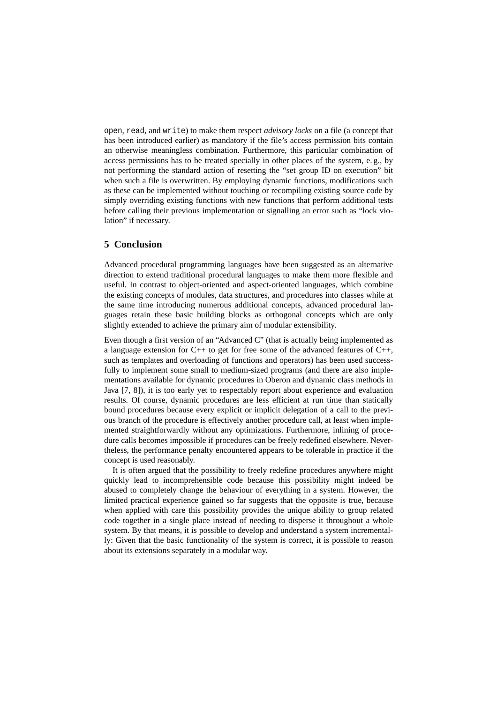open, read, and write) to make them respect *advisory locks* on a file (a concept that has been introduced earlier) as mandatory if the file's access permission bits contain an otherwise meaningless combination. Furthermore, this particular combination of access permissions has to be treated specially in other places of the system, e. g., by not performing the standard action of resetting the "set group ID on execution" bit when such a file is overwritten. By employing dynamic functions, modifications such as these can be implemented without touching or recompiling existing source code by simply overriding existing functions with new functions that perform additional tests before calling their previous implementation or signalling an error such as "lock violation" if necessary.

#### **5 Conclusion**

Advanced procedural programming languages have been suggested as an alternative direction to extend traditional procedural languages to make them more flexible and useful. In contrast to object-oriented and aspect-oriented languages, which combine the existing concepts of modules, data structures, and procedures into classes while at the same time introducing numerous additional concepts, advanced procedural languages retain these basic building blocks as orthogonal concepts which are only slightly extended to achieve the primary aim of modular extensibility.

Even though a first version of an "Advanced C" (that is actually being implemented as a language extension for  $C_{++}$  to get for free some of the advanced features of  $C_{++}$ , such as templates and overloading of functions and operators) has been used successfully to implement some small to medium-sized programs (and there are also implementations available for dynamic procedures in Oberon and dynamic class methods in Java [7, 8]), it is too early yet to respectably report about experience and evaluation results. Of course, dynamic procedures are less efficient at run time than statically bound procedures because every explicit or implicit delegation of a call to the previous branch of the procedure is effectively another procedure call, at least when implemented straightforwardly without any optimizations. Furthermore, inlining of procedure calls becomes impossible if procedures can be freely redefined elsewhere. Nevertheless, the performance penalty encountered appears to be tolerable in practice if the concept is used reasonably.

It is often argued that the possibility to freely redefine procedures anywhere might quickly lead to incomprehensible code because this possibility might indeed be abused to completely change the behaviour of everything in a system. However, the limited practical experience gained so far suggests that the opposite is true, because when applied with care this possibility provides the unique ability to group related code together in a single place instead of needing to disperse it throughout a whole system. By that means, it is possible to develop and understand a system incrementally: Given that the basic functionality of the system is correct, it is possible to reason about its extensions separately in a modular way.